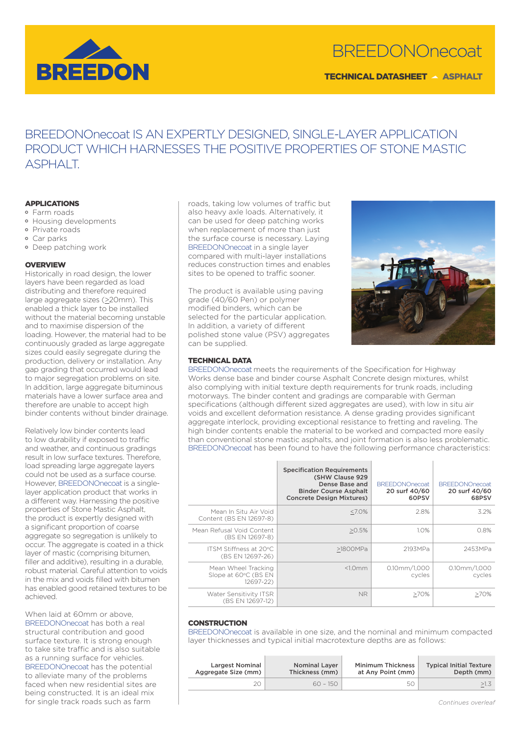

# BREEDONOnecoat

TECHNICAL DATASHEET A ASPHALT

# BREEDONOnecoat IS AN EXPERTLY DESIGNED, SINGLE-LAYER APPLICATION PRODUCT WHICH HARNESSES THE POSITIVE PROPERTIES OF STONE MASTIC ASPHALT.

# APPLICATIONS

- Farm roads
- Housing developments
- Private roads Car parks
- Deep patching work

# **OVERVIEW**

Historically in road design, the lower layers have been regarded as load distributing and therefore required large aggregate sizes ( $\geq$ 20mm). This enabled a thick layer to be installed without the material becoming unstable and to maximise dispersion of the loading. However, the material had to be continuously graded as large aggregate sizes could easily segregate during the production, delivery or installation. Any gap grading that occurred would lead to major segregation problems on site. In addition, large aggregate bituminous materials have a lower surface area and therefore are unable to accept high binder contents without binder drainage.

Relatively low binder contents lead to low durability if exposed to traffic and weather, and continuous gradings result in low surface textures. Therefore, load spreading large aggregate layers could not be used as a surface course. However, BREEDONOnecoat is a singlelayer application product that works in a different way. Harnessing the positive properties of Stone Mastic Asphalt, the product is expertly designed with a significant proportion of coarse aggregate so segregation is unlikely to occur. The aggregate is coated in a thick layer of mastic (comprising bitumen, filler and additive), resulting in a durable. robust material. Careful attention to voids in the mix and voids filled with bitumen has enabled good retained textures to be achieved.

When laid at 60mm or above, BREEDONOnecoat has both a real structural contribution and good surface texture. It is strong enough to take site traffic and is also suitable as a running surface for vehicles. BREEDONOnecoat has the potential to alleviate many of the problems faced when new residential sites are being constructed. It is an ideal mix for single track roads such as farm

roads, taking low volumes of traffic but also heavy axle loads. Alternatively, it can be used for deep patching works when replacement of more than just the surface course is necessary. Laying BREEDONOnecoat in a single layer compared with multi-layer installations reduces construction times and enables sites to be opened to traffic sooner.

The product is available using paving grade (40/60 Pen) or polymer modified binders, which can be selected for the particular application. In addition, a variety of different polished stone value (PSV) aggregates can be supplied.



# TECHNICAL DATA

BREEDONOnecoat meets the requirements of the Specification for Highway Works dense base and binder course Asphalt Concrete design mixtures, whilst also complying with initial texture depth requirements for trunk roads, including motorways. The binder content and gradings are comparable with German specifications (although different sized aggregates are used), with low in situ air voids and excellent deformation resistance. A dense grading provides significant aggregate interlock, providing exceptional resistance to fretting and raveling. The high binder contents enable the material to be worked and compacted more easily than conventional stone mastic asphalts, and joint formation is also less problematic. BREEDONOnecoat has been found to have the following performance characteristics:

|                                                          | <b>Specification Requirements</b><br>(SHW Clause 929<br>Dense Base and<br><b>Binder Course Asphalt</b><br><b>Concrete Design Mixtures)</b> | <b>BREEDONOnecoat</b><br>20 surf 40/60<br>60PSV | <b>BREEDONOnecoat</b><br>20 surf 40/60<br>68PSV |
|----------------------------------------------------------|--------------------------------------------------------------------------------------------------------------------------------------------|-------------------------------------------------|-------------------------------------------------|
| Mean In Situ Air Void<br>Content (BS EN 12697-8)         | $<7.0\%$                                                                                                                                   | 2.8%                                            | 3.2%                                            |
| Mean Refusal Void Content<br>(BS EN 12697-8)             | >0.5%                                                                                                                                      | 1.0%                                            | 0.8%                                            |
| ITSM Stiffness at 20°C<br>(BS EN 12697-26)               | >1800MPa                                                                                                                                   | 2193MPa                                         | 2453MPa                                         |
| Mean Wheel Tracking<br>Slope at 60°C (BS EN<br>12697-22) | <1.0mm                                                                                                                                     | $0.10$ mm $/1.000$<br>cycles                    |                                                 |
| Water Sensitivity ITSR<br>(BS EN 12697-12)               | NR.                                                                                                                                        | $>70\%$                                         | $>70\%$                                         |

#### **CONSTRUCTION**

BREEDONOnecoat is available in one size, and the nominal and minimum compacted layer thicknesses and typical initial macrotexture depths are as follows:

| <b>Largest Nominal</b> | <b>Nominal Laver</b> | <b>Minimum Thickness</b> | <b>Typical Initial Texture</b> |
|------------------------|----------------------|--------------------------|--------------------------------|
| Aggregate Size (mm)    | Thickness (mm)       | at Any Point (mm)        | Depth (mm)                     |
|                        | $60 - 150$           | 50                       | >1.3                           |